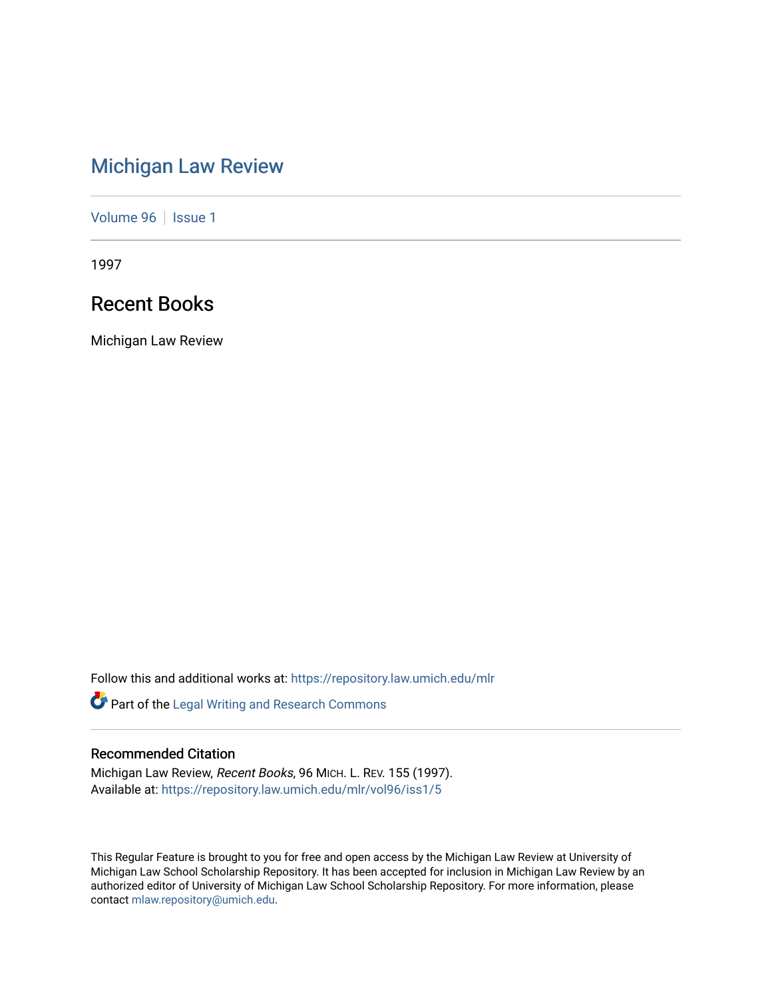# [Michigan Law Review](https://repository.law.umich.edu/mlr)

[Volume 96](https://repository.law.umich.edu/mlr/vol96) | [Issue 1](https://repository.law.umich.edu/mlr/vol96/iss1)

1997

# Recent Books

Michigan Law Review

Follow this and additional works at: [https://repository.law.umich.edu/mlr](https://repository.law.umich.edu/mlr?utm_source=repository.law.umich.edu%2Fmlr%2Fvol96%2Fiss1%2F5&utm_medium=PDF&utm_campaign=PDFCoverPages) 

Part of the [Legal Writing and Research Commons](http://network.bepress.com/hgg/discipline/614?utm_source=repository.law.umich.edu%2Fmlr%2Fvol96%2Fiss1%2F5&utm_medium=PDF&utm_campaign=PDFCoverPages) 

# Recommended Citation

Michigan Law Review, Recent Books, 96 MICH. L. REV. 155 (1997). Available at: [https://repository.law.umich.edu/mlr/vol96/iss1/5](https://repository.law.umich.edu/mlr/vol96/iss1/5?utm_source=repository.law.umich.edu%2Fmlr%2Fvol96%2Fiss1%2F5&utm_medium=PDF&utm_campaign=PDFCoverPages)

This Regular Feature is brought to you for free and open access by the Michigan Law Review at University of Michigan Law School Scholarship Repository. It has been accepted for inclusion in Michigan Law Review by an authorized editor of University of Michigan Law School Scholarship Repository. For more information, please contact [mlaw.repository@umich.edu](mailto:mlaw.repository@umich.edu).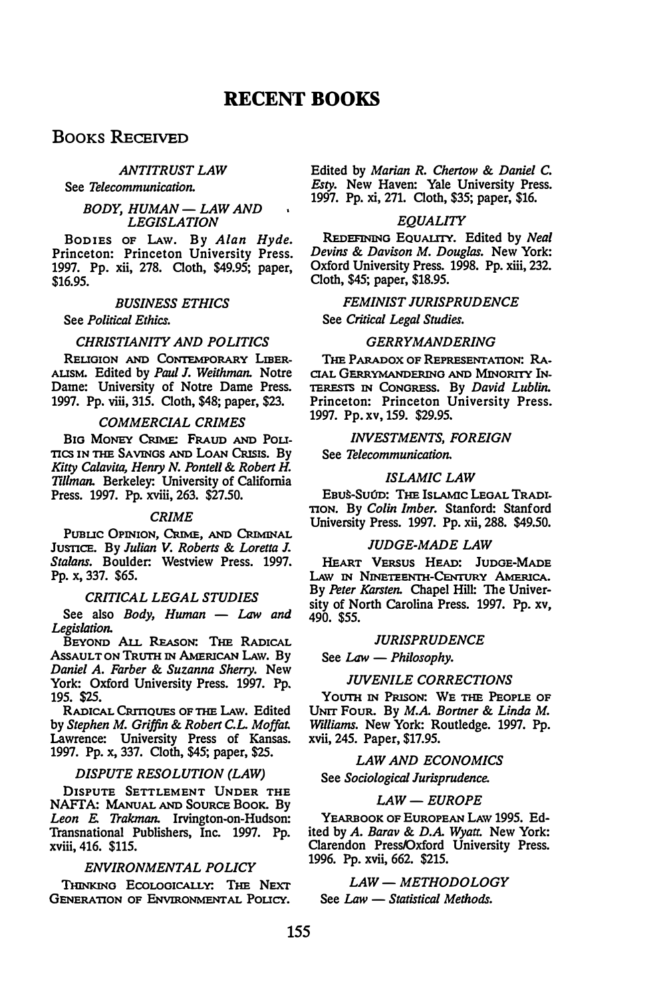## BOOKS RECEIVED

## ANTITRUST LAW

## See Telecommunication.

## $BODY$ ,  $HUMAN - LMW$  AND LEGISLATION

BODIES OF LAw. By Alan Hyde. Princeton: Princeton University Press. 1997. Pp. xii, 278. Cloth, \$49.95; paper, \$16.95.

## BUSINESS ETHICS

See Political Ethics.

## CHRISTIANITY AND POLITICS

REuo10N AND CoNTEMPORARY LIBER-AUSM. Edited by Paul J. Weithman. Notre Daine: University of Notre Dame Press. 1997. Pp. viii, 315. Cloth, \$48; paper, \$23.

## COMMERCIAL CRIMES

BIO MoNEY CRIME: FRAUD AND Pou-TICS IN THE SAVINGS AND LOAN CRISIS. By Kitty Calavita, Henry N. Pontell & Robert H. Tillman. Berkeley: University of California Press. 1997. Pp. xviii, 263. \$27.50.

## CRIME

PUBUC OPINION, CRIME, AND CRIMINAL JUSTICE. By Julian V. Roberts & Loretta J. Stalans. Boulder: Westview Press. 1997. Pp. x, 337. \$65.

## CRITICAL LEGAL STUDIES

See also Body, Human  $-$  Law and Legislation.

BEYOND Au. REAsoN: THE RADICAL ASSAULT ON TRUTH IN AMERICAN LAw. By Daniel A. Farber & Suzanna Sherry. New York: Oxford University Press. 1997. Pp. 195. \$25.

RADICAL CRITIQUES OF THE LAW. Edited by Stephen M. Griffin & Robert C.L. Moffat. Lawrence: University Press of Kansas. 1997. Pp. x, 337. Cloth, \$45; paper, \$25.

## DISPUTE RESOLUTION (LAW)

DISPUTE SETTLEMENT UNDER THE NAFTA: MANUAL AND SOURCE BOOK. By Leon E. Trakman. Irvington-on-Hudson: Transnational Publishers, Inc. 1997. Pp. xviii, 416. \$115.

## ENVIRONMENTAL POLICY

THINKING ECOLOGICALLY: THE NEXT GENERATION OF ENVIRONMENTAL POLICY.

Edited by Marian R. Chertow & Daniel C. Esty. New Haven: Yale University Press. 1997. Pp. xi, 271. Cloth, \$35; paper, \$16.

## EQUALITY

REDEFINING EQUALITY. Edited by Neal Devins & Davison M. Douglas. New York: Oxford University Press. 1998. Pp. xiii, 232. Cloth, \$45; paper, \$18.95.

## FEMINIST JURISPRUDENCE

See Critical Legal Studies.

## GERRYMANDERING

THE PARADOX OF REPRESENTATION: RA-CIAL GERRYMANDERING AND MINORITY IN-TERESTS IN CONGRESS. By David Lublin. Princeton: Princeton University Press. 1997. Pp. xv, 159. \$29.95.

## INVESTMENTS, FOREIGN

See Telecommunication.

## ISLAMIC LAW

Ebus-Suúd: The Islamic Legal Tradi-TION. By Colin Imber. Stanford: Stanford University Press. 1997. Pp. xii, 288. \$49.50.

## JUDGE-MADE LAW

HEART VERSUS HEAD: JUDGE-MADE LAw IN NINETEENTH-CENTURY AMERICA. By Peter Karsten. Chapel Hill: The University of North carolina Press. 1997. Pp. xv, 490. \$55.

#### JURISPRUDENCE

See Law - Philosophy.

## JUVENILE CORRECTIONS

YOUTH IN PRISON: WE THE PEOPLE OF UNIT FOUR. By M.A. Bortner & Linda M. Williams. New York: Routledge. 1997. Pp. xvii, 245. Paper, \$17.95.

## LAW AND ECONOMICS

See Sociological Jurisprudence.

## $LAW - EUROPE$

YEARBOOK OF EUROPEAN LAW 1995. Edited by A. Barav & D.A. Wyatt. New York: Clarendon Press/Oxford University Press. 1996. Pp. xvii, 662. \$215.

LAW - METHODOLOGY  $See Law - Statistical Methods.$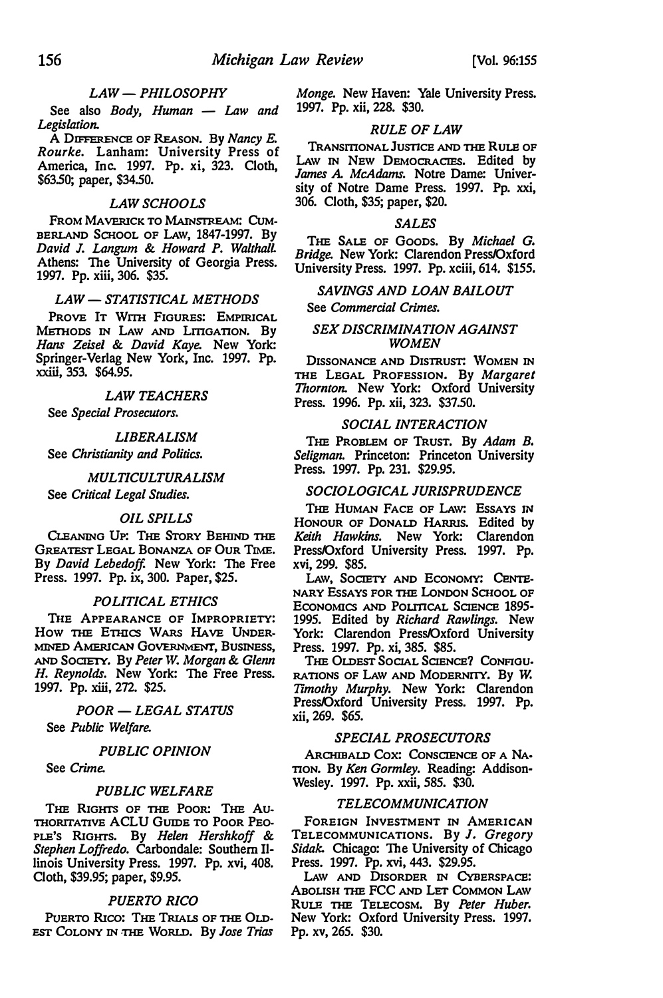## $LAW = PHILOSOPHY$

See also Body, Human  $-$  Law and Legislation.

A DIFFERENCE OF REASON. By Nancy E. Rourke. Lanham: University Press of America, Inc. 1997. Pp. xi, 323. Cloth, \$63.50; paper, \$34.50.

## LAW SCHOOLS

FROM MAVERICK TO MAINSTREAM: CUM-BERLAND SCHOOL OF LAW, 1847-1997. By David J. Langum & Howard P. Walthall Athens: The University of Georgia Press. 1997. Pp. xiii, 306. \$35.

## LAW - STATISTICAL METHODS

METHODS IN LAW AND LITIGATION. By PROVE IT WITH FIGURES: EMPIRICAL Hans Zeisel & David Kaye. New York: Springer-Verlag New York, Inc. 1997. Pp. xxili, 353. \$64.95.

## LAW TEACHERS

## See Special Prosecutors.

## LIBERALISM

See Christianity and Politics.

## MULTICULTURALISM See Critical Legal Studies.

## OIL SPILLS

CLEANING UP: THE STORY BEHIND THE GREATEST LEGAL BONANZA OF OUR TIME. By David Lebedoff. New York: The Free Press. 1997. Pp. ix, 300. Paper, \$25.

### POLITICAL ETHICS

THE APPEARANCE OF IMPROPRIETY: MINED AMERICAN GOVERNMENT, BUSINESS, How THE ETHICS WARS HAVE UNDER-AND SOCIETY. By Peter W. Morgan & Glenn H. Reynolds. New York: The Free Press. 1997. Pp. xiii, 272. \$25.

POOR - LEGAL STATUS See Public Welfare.

#### PUBLIC OPINION

See Crime.

## PUBLIC WELFARE

THE RIGHTS OF THE POOR: THE AU-THORITATIVE ACLU GUIDE TO POOR PEO-PLE'S RIGHTS. By Helen Hershkoff & Stephen Loffredo. Carbondale: Southern Illinois University Press. 1997. Pp. xvi, 408. Cloth, \$39.95; paper, \$9.95.

## PUERTO RICO

PuERTO Rico: THE TRIALS oF THE OLD EST COLONY IN THE WORLD. By Jose Trias Monge. New Haven: Yale University Press. 1997. Pp. xii, 228. \$30.

### RULE OF LAW

TRANSITIONAL JUSTICE AND THE RULE OF LAw IN NEW DEMOCRACIES. Edited by James A. McAdams. Notre Dame: University of Notre Dame Press. 1997. Pp. xxi, 306. Cloth, \$35; paper, \$20.

## SALES

THE SALE OF GooDs. By Michael G. Bridge. New York: Clarendon Press/Oxford University Press. 1997. Pp. xciii, 614. \$155.

## SAVINGS AND LOAN BAILOUT

See Commercial Crimes.

## SEX DISCRIMINATION AGAINST **WOMEN**

DISSONANCE AND DISTRUST: WOMEN IN THE LEGAL PROFESSION. By Margaret Thornton. New York: Oxford University Press. 1996. Pp. xii, 323. \$37.50.

## SOCIAL INTERACTION

THE PROBLEM OF TRUST. By Adam B. Seligman. Princeton: Princeton University Press. 1997. Pp. 231. \$29.95.

## SOCIOLOGICAL JURISPRUDENCE

THE HUMAN FACE OF LAw: ESSAYS JN HONOUR OF DONALD HARRIS. Edited by Keith Hawkins. New York: Clarendon Press/Oxford University Press. 1997. Pp. xvi, 299. \$85.

LAW, SOCIETY AND ECONOMY: CENTE-NARY EsSAYS FOR THE LoNDON SCHOOL OF ECONOMICS AND POLITICAL SCIENCE 1895- 1995. Edited by Richard Rawlings. New York: Clarendon Press/Oxford University Press. 1997. Pp. xi, 385. \$85.

THE OLDEST SOCIAL SCIENCE? CONFIOU· RATIONS OF LAW AND MODERNITY. By W. Timothy Murphy. New York: Clarendon Press/Oxford University Press. 1997. Pp. xii, 269. \$65.

## SPECIAL PROSECUTORS

ARCHIBALD Cox: CoNSCIENCE OF A NA-TION. By Ken Gormley. Reading: Addison-Wesley. 1997. Pp. xxii, 585. \$30.

#### TELECOMMUNICATION

FOREIGN INVESTMENT IN AMERICAN TELECOMMUNICATIONS. By J. Gregory Sidak. Chicago: The University of Chicago Press. 1997. Pp. xvi, 443. \$29.95.

LAW AND DISORDER IN CYBERSPACE: ABOLISH THE FCC AND LET COMMON LAW RuLE THE TELECOSM. By Peter Huber. New York: Oxford University Press. 1997. Pp. xv, 265. \$30.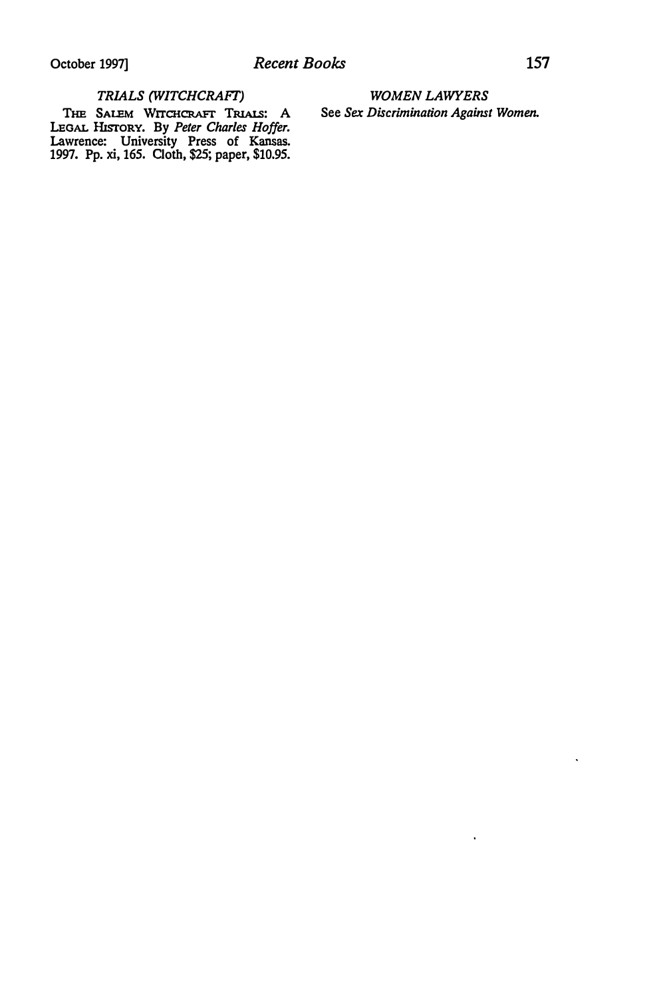## TRIALS (WITCHCRAFT)

THE SALEM WITCHCRAFT TRIALS: A LEGAL HlsToRY. By Peter Charles Hoffer. Lawrence: University Press of Kansas. 1997. Pp. xi, 165. Cloth, \$25; paper, \$10.95.

WOMEN LAWYERS See Sex Discrimination Against Women.

 $\ddot{\phantom{a}}$ 

 $\bullet$